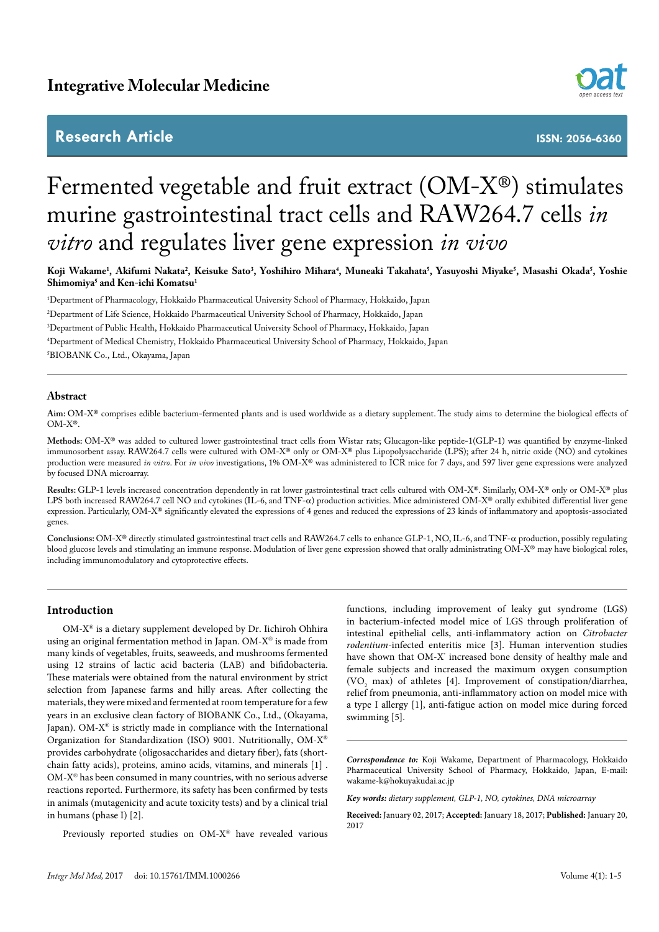# **Research Article**



**ISSN: 2056-6360**

# Fermented vegetable and fruit extract (OM-X®) stimulates murine gastrointestinal tract cells and RAW264.7 cells *in vitro* and regulates liver gene expression *in vivo*

Koji Wakame<sup>1</sup>, Akifumi Nakata<sup>2</sup>, Keisuke Sato<sup>3</sup>, Yoshihiro Mihara<sup>4</sup>, Muneaki Takahata<sup>3</sup>, Yasuyoshi Miyake<sup>3</sup>, Masashi Okada<sup>3</sup>, Yoshie **Shimomiya5 and Ken-ichi Komatsu1**

1 Department of Pharmacology, Hokkaido Pharmaceutical University School of Pharmacy, Hokkaido, Japan

2 Department of Life Science, Hokkaido Pharmaceutical University School of Pharmacy, Hokkaido, Japan

3 Department of Public Health, Hokkaido Pharmaceutical University School of Pharmacy, Hokkaido, Japan

4 Department of Medical Chemistry, Hokkaido Pharmaceutical University School of Pharmacy, Hokkaido, Japan

5 BIOBANK Co., Ltd., Okayama, Japan

## **Abstract**

**Aim:** OM-X® comprises edible bacterium-fermented plants and is used worldwide as a dietary supplement. The study aims to determine the biological effects of OM-X®.

**Methods:** OM-X® was added to cultured lower gastrointestinal tract cells from Wistar rats; Glucagon-like peptide-1(GLP-1) was quantified by enzyme-linked immunosorbent assay. RAW264.7 cells were cultured with OM-X® only or OM-X® plus Lipopolysaccharide (LPS); after 24 h, nitric oxide (NO) and cytokines production were measured *in vitro*. For *in vivo* investigations, 1% OM-X® was administered to ICR mice for 7 days, and 597 liver gene expressions were analyzed by focused DNA microarray.

**Results:** GLP-1 levels increased concentration dependently in rat lower gastrointestinal tract cells cultured with OM-X®. Similarly, OM-X® only or OM-X® plus LPS both increased RAW264.7 cell NO and cytokines (IL-6, and TNF-α) production activities. Mice administered OM-X® orally exhibited differential liver gene expression. Particularly, OM-X® significantly elevated the expressions of 4 genes and reduced the expressions of 23 kinds of inflammatory and apoptosis-associated genes.

**Conclusions:** OM-X® directly stimulated gastrointestinal tract cells and RAW264.7 cells to enhance GLP-1, NO, IL-6, and TNF-α production, possibly regulating blood glucose levels and stimulating an immune response. Modulation of liver gene expression showed that orally administrating OM-X® may have biological roles, including immunomodulatory and cytoprotective effects.

# **Introduction**

OM-X® is a dietary supplement developed by Dr. Iichiroh Ohhira using an original fermentation method in Japan. OM-X® is made from many kinds of vegetables, fruits, seaweeds, and mushrooms fermented using 12 strains of lactic acid bacteria (LAB) and bifidobacteria. These materials were obtained from the natural environment by strict selection from Japanese farms and hilly areas. After collecting the materials, they were mixed and fermented at room temperature for a few years in an exclusive clean factory of BIOBANK Co., Ltd., (Okayama, Japan). OM- $X^{\circledast}$  is strictly made in compliance with the International Organization for Standardization (ISO) 9001. Nutritionally, OM-X® provides carbohydrate (oligosaccharides and dietary fiber), fats (shortchain fatty acids), proteins, amino acids, vitamins, and minerals [1] . OM-X® has been consumed in many countries, with no serious adverse reactions reported. Furthermore, its safety has been confirmed by tests in animals (mutagenicity and acute toxicity tests) and by a clinical trial in humans (phase I) [2].

Previously reported studies on OM-X® have revealed various

functions, including improvement of leaky gut syndrome (LGS) in bacterium-infected model mice of LGS through proliferation of intestinal epithelial cells, anti-inflammatory action on *Citrobacter rodentium*-infected enteritis mice [3]. Human intervention studies have shown that OM-X<sup>\*</sup> increased bone density of healthy male and female subjects and increased the maximum oxygen consumption  $(VO<sub>2</sub> max)$  of athletes [4]. Improvement of constipation/diarrhea, relief from pneumonia, anti-inflammatory action on model mice with a type I allergy [1], anti-fatigue action on model mice during forced swimming [5].

*Correspondence to:* Koji Wakame, Department of Pharmacology, Hokkaido Pharmaceutical University School of Pharmacy, Hokkaido, Japan, E-mail: wakame-k@hokuyakudai.ac.jp

*Key words: dietary supplement, GLP-1, NO, cytokines, DNA microarray*

**Received:** January 02, 2017; **Accepted:** January 18, 2017; **Published:** January 20, 2017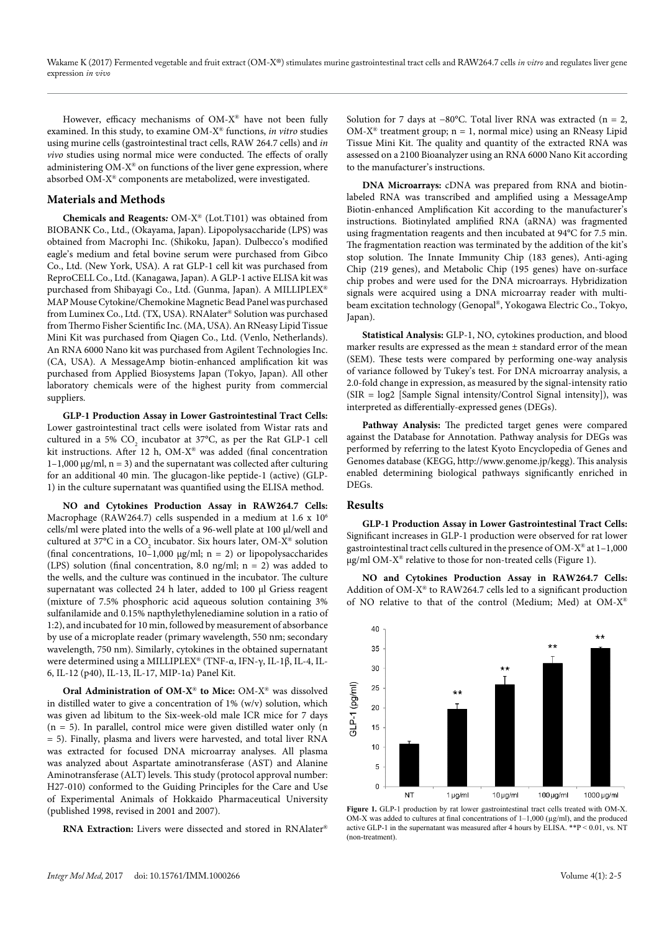However, efficacy mechanisms of OM-X® have not been fully examined. In this study, to examine OM-X® functions, *in vitro* studies using murine cells (gastrointestinal tract cells, RAW 264.7 cells) and *in vivo* studies using normal mice were conducted. The effects of orally administering  $OM-X^{\otimes}$  on functions of the liver gene expression, where absorbed OM-X® components are metabolized, were investigated.

### **Materials and Methods**

**Chemicals and Reagents***:* OM-X® (Lot.T101) was obtained from BIOBANK Co., Ltd., (Okayama, Japan). Lipopolysaccharide (LPS) was obtained from Macrophi Inc. (Shikoku, Japan). Dulbecco's modified eagle's medium and fetal bovine serum were purchased from Gibco Co., Ltd. (New York, USA). A rat GLP-1 cell kit was purchased from ReproCELL Co., Ltd. (Kanagawa, Japan). A GLP-1 active ELISA kit was purchased from Shibayagi Co., Ltd. (Gunma, Japan). A MILLIPLEX® MAP Mouse Cytokine/Chemokine Magnetic Bead Panel was purchased from Luminex Co., Ltd. (TX, USA). RNAlater® Solution was purchased from Thermo Fisher Scientific Inc. (MA, USA). An RNeasy Lipid Tissue Mini Kit was purchased from Qiagen Co., Ltd. (Venlo, Netherlands). An RNA 6000 Nano kit was purchased from Agilent Technologies Inc. (CA, USA). A MessageAmp biotin-enhanced amplification kit was purchased from Applied Biosystems Japan (Tokyo, Japan). All other laboratory chemicals were of the highest purity from commercial suppliers.

**GLP-1 Production Assay in Lower Gastrointestinal Tract Cells:**  Lower gastrointestinal tract cells were isolated from Wistar rats and cultured in a 5%  $CO_2$  incubator at 37°C, as per the Rat GLP-1 cell kit instructions. After 12 h, OM-X® was added (final concentration  $1-1,000 \mu g/ml$ , n = 3) and the supernatant was collected after culturing for an additional 40 min. The glucagon-like peptide-1 (active) (GLP-1) in the culture supernatant was quantified using the ELISA method.

**NO and Cytokines Production Assay in RAW264.7 Cells:**  Macrophage (RAW264.7) cells suspended in a medium at 1.6 x 106 cells/ml were plated into the wells of a 96-well plate at 100 µl/well and cultured at 37°C in a CO<sub>2</sub> incubator. Six hours later, OM-X® solution (final concentrations,  $10-1,000 \mu g/ml$ ; n = 2) or lipopolysaccharides (LPS) solution (final concentration, 8.0 ng/ml;  $n = 2$ ) was added to the wells, and the culture was continued in the incubator. The culture supernatant was collected 24 h later, added to 100 µl Griess reagent (mixture of 7.5% phosphoric acid aqueous solution containing 3% sulfanilamide and 0.15% napthylethylenediamine solution in a ratio of 1:2), and incubated for 10 min, followed by measurement of absorbance by use of a microplate reader (primary wavelength, 550 nm; secondary wavelength, 750 nm). Similarly, cytokines in the obtained supernatant were determined using a MILLIPLEX® (TNF-α, IFN-γ, IL-1β, IL-4, IL-6, IL-12 (p40), IL-13, IL-17, MIP-1α) Panel Kit.

**Oral Administration of OM-X**® **to Mice:** OM-X® was dissolved in distilled water to give a concentration of 1% (w/v) solution, which was given ad libitum to the Six-week-old male ICR mice for 7 days  $(n = 5)$ . In parallel, control mice were given distilled water only  $(n = 5)$ . = 5). Finally, plasma and livers were harvested, and total liver RNA was extracted for focused DNA microarray analyses. All plasma was analyzed about Aspartate aminotransferase (AST) and Alanine Aminotransferase (ALT) levels. This study (protocol approval number: H27-010) conformed to the Guiding Principles for the Care and Use of Experimental Animals of Hokkaido Pharmaceutical University (published 1998, revised in 2001 and 2007).

**RNA Extraction:** Livers were dissected and stored in RNAlater®

Solution for 7 days at −80°C. Total liver RNA was extracted (n = 2, OM-X<sup>®</sup> treatment group;  $n = 1$ , normal mice) using an RNeasy Lipid Tissue Mini Kit. The quality and quantity of the extracted RNA was assessed on a 2100 Bioanalyzer using an RNA 6000 Nano Kit according to the manufacturer's instructions.

**DNA Microarrays:** cDNA was prepared from RNA and biotinlabeled RNA was transcribed and amplified using a MessageAmp Biotin-enhanced Amplification Kit according to the manufacturer's instructions. Biotinylated amplified RNA (aRNA) was fragmented using fragmentation reagents and then incubated at 94°C for 7.5 min. The fragmentation reaction was terminated by the addition of the kit's stop solution. The Innate Immunity Chip (183 genes), Anti-aging Chip (219 genes), and Metabolic Chip (195 genes) have on-surface chip probes and were used for the DNA microarrays. Hybridization signals were acquired using a DNA microarray reader with multibeam excitation technology (Genopal®, Yokogawa Electric Co., Tokyo, Japan).

**Statistical Analysis:** GLP-1, NO, cytokines production, and blood marker results are expressed as the mean ± standard error of the mean (SEM). These tests were compared by performing one-way analysis of variance followed by Tukey's test. For DNA microarray analysis, a 2.0-fold change in expression, as measured by the signal-intensity ratio (SIR = log2 [Sample Signal intensity/Control Signal intensity]), was interpreted as differentially-expressed genes (DEGs).

**Pathway Analysis:** The predicted target genes were compared against the Database for Annotation. Pathway analysis for DEGs was performed by referring to the latest Kyoto Encyclopedia of Genes and Genomes database (KEGG, http://www.genome.jp/kegg). This analysis enabled determining biological pathways significantly enriched in **DEGs.** 

#### **Results**

**GLP-1 Production Assay in Lower Gastrointestinal Tract Cells:**  Significant increases in GLP-1 production were observed for rat lower gastrointestinal tract cells cultured in the presence of OM-X® at 1–1,000 µg/ml OM-X® relative to those for non-treated cells (Figure 1).

**NO and Cytokines Production Assay in RAW264.7 Cells:**  Addition of OM-X® to RAW264.7 cells led to a significant production of NO relative to that of the control (Medium; Med) at OM-X®



Figure 1. GLP-1 production by rat lower gastrointestinal tract cells treated with OM-X. OM-X was added to cultures at final concentrations of  $1-1,000$  ( $\mu$ g/ml), and the produced active GLP-1 in the supernatant was measured after 4 hours by ELISA. \*\*P < 0.01, vs. NT (non-treatment).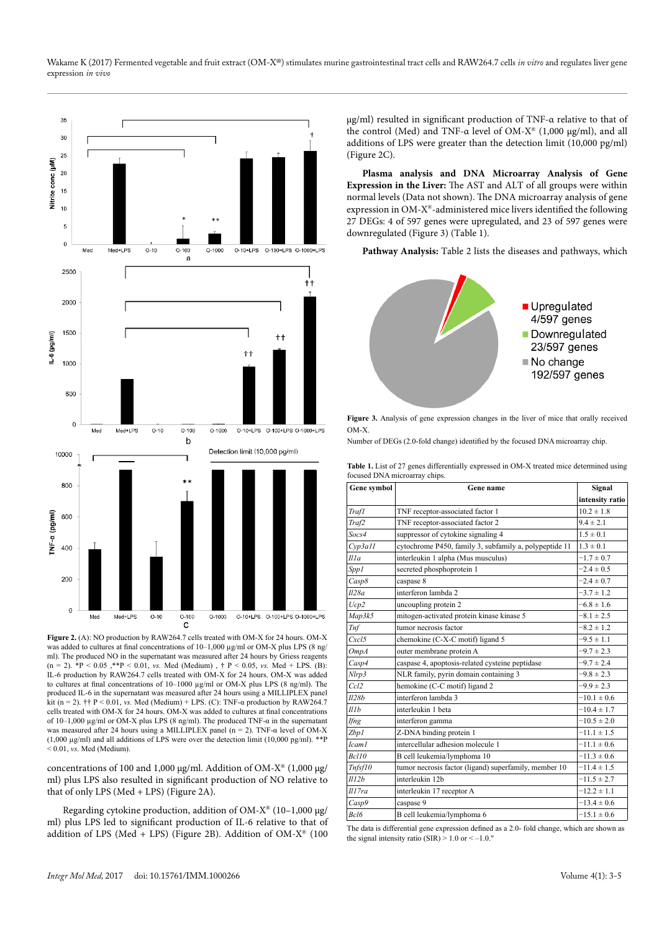

**Figure 2.** (A): NO production by RAW264.7 cells treated with OM-X for 24 hours. OM-X was added to cultures at final concentrations of 10–1,000 µg/ml or OM-X plus LPS (8 ng/ ml). The produced NO in the supernatant was measured after 24 hours by Griess reagents  $(n = 2)$ . \*P < 0.05, \*\*P < 0.01, *vs.* Med (Medium),  $\uparrow$  P < 0.05, *vs.* Med + LPS. (B): IL-6 production by RAW264.7 cells treated with OM-X for 24 hours. OM-X was added to cultures at final concentrations of 10–1000 µg/ml or OM-X plus LPS (8 ng/ml). The produced IL-6 in the supernatant was measured after 24 hours using a MILLIPLEX panel kit (n = 2).  $\dot{\tau}$  + P < 0.01, *vs.* Med (Medium) + LPS. (C): TNF- $\alpha$  production by RAW264.7 cells treated with OM-X for 24 hours. OM-X was added to cultures at final concentrations of 10–1,000 µg/ml or OM-X plus LPS (8 ng/ml). The produced TNF-α in the supernatant was measured after 24 hours using a MILLIPLEX panel (n = 2). TNF- $\alpha$  level of OM-X (1,000 µg/ml) and all additions of LPS were over the detection limit (10,000 pg/ml). \*\*P  $< 0.01$ , *vs.* Med (Medium).

concentrations of 100 and 1,000 µg/ml. Addition of OM-X® (1,000 µg/ ml) plus LPS also resulted in significant production of NO relative to that of only LPS (Med + LPS) (Figure 2A).

Regarding cytokine production, addition of OM- $X^{\circledast}$  (10–1,000 µg/ ml) plus LPS led to significant production of IL-6 relative to that of addition of LPS (Med + LPS) (Figure 2B). Addition of OM- $X^{\circledast}$  (100 µg/ml) resulted in significant production of TNF-α relative to that of the control (Med) and TNF-α level of OM-X® (1,000 µg/ml), and all additions of LPS were greater than the detection limit (10,000 pg/ml) (Figure 2C).

**Plasma analysis and DNA Microarray Analysis of Gene Expression in the Liver:** The AST and ALT of all groups were within normal levels (Data not shown). The DNA microarray analysis of gene expression in OM-X®-administered mice livers identified the following 27 DEGs: 4 of 597 genes were upregulated, and 23 of 597 genes were downregulated (Figure 3) (Table 1).

Pathway Analysis: Table 2 lists the diseases and pathways, which



**Figure 3.** Analysis of gene expression changes in the liver of mice that orally received OM-X.

Number of DEGs (2.0-fold change) identified by the focused DNA microarray chip.

**Table 1.** List of 27 genes differentially expressed in OM-X treated mice determined using focused DNA microarray chips.

| Gene symbol       | Gene name                                              | Signal          |
|-------------------|--------------------------------------------------------|-----------------|
|                   |                                                        | intensity ratio |
| <b>Traf1</b>      | TNF receptor-associated factor 1                       | $10.2 \pm 1.8$  |
| Traf2             | TNF receptor-associated factor 2                       | $9.4 \pm 2.1$   |
| Socs4             | suppressor of cytokine signaling 4                     | $1.5 \pm 0.1$   |
| Cvp3a11           | cytochrome P450, family 3, subfamily a, polypeptide 11 | $1.3 \pm 0.1$   |
| Il la             | interleukin 1 alpha (Mus musculus)                     | $-1.7 \pm 0.7$  |
| Spp1              | secreted phosphoprotein 1                              | $-2.4 \pm 0.5$  |
| Casp8             | caspase 8                                              | $-2.4 \pm 0.7$  |
| Il28a             | interferon lambda 2                                    | $-3.7 \pm 1.2$  |
| Ucp2              | uncoupling protein 2                                   | $-6.8 \pm 1.6$  |
| Map3k5            | mitogen-activated protein kinase kinase 5              | $-8.1 \pm 2.5$  |
| <b>Tnf</b>        | tumor necrosis factor                                  | $-8.2 \pm 1.2$  |
| Cxcl5             | chemokine (C-X-C motif) ligand 5                       | $-9.5 \pm 1.1$  |
| OmpA              | outer membrane protein A                               | $-9.7 \pm 2.3$  |
| Casp4             | caspase 4, apoptosis-related cysteine peptidase        | $-9.7 \pm 2.4$  |
| Nlrp3             | NLR family, pyrin domain containing 3                  | $-9.8 \pm 2.3$  |
| Ccl2              | hemokine (C-C motif) ligand 2                          | $-9.9 \pm 2.3$  |
| Il28b             | interferon lambda 3                                    | $-10.1 \pm 0.6$ |
| Illb              | interleukin 1 beta                                     | $-10.4 \pm 1.7$ |
| Ifng              | interferon gamma                                       | $-10.5 \pm 2.0$ |
| Zbp1              | Z-DNA binding protein 1                                | $-11.1 \pm 1.5$ |
| Icam <sub>1</sub> | intercellular adhesion molecule 1                      | $-11.1 \pm 0.6$ |
| Bcl10             | B cell leukemia/lymphoma 10                            | $-11.3 \pm 0.6$ |
| Tnfsf10           | tumor necrosis factor (ligand) superfamily, member 10  | $-11.4 \pm 1.5$ |
| Il12b             | interleukin 12b                                        | $-11.5 \pm 2.7$ |
| $III$ 7ra         | interleukin 17 receptor A                              | $-12.2 \pm 1.1$ |
| Casp9             | caspase 9                                              | $-13.4 \pm 0.6$ |
| Rcl6              | B cell leukemia/lymphoma 6                             | $-15.1 \pm 0.6$ |

The data is differential gene expression defined as a 2.0- fold change, which are shown as the signal intensity ratio (SIR)  $> 1.0$  or  $<-1.0$ ."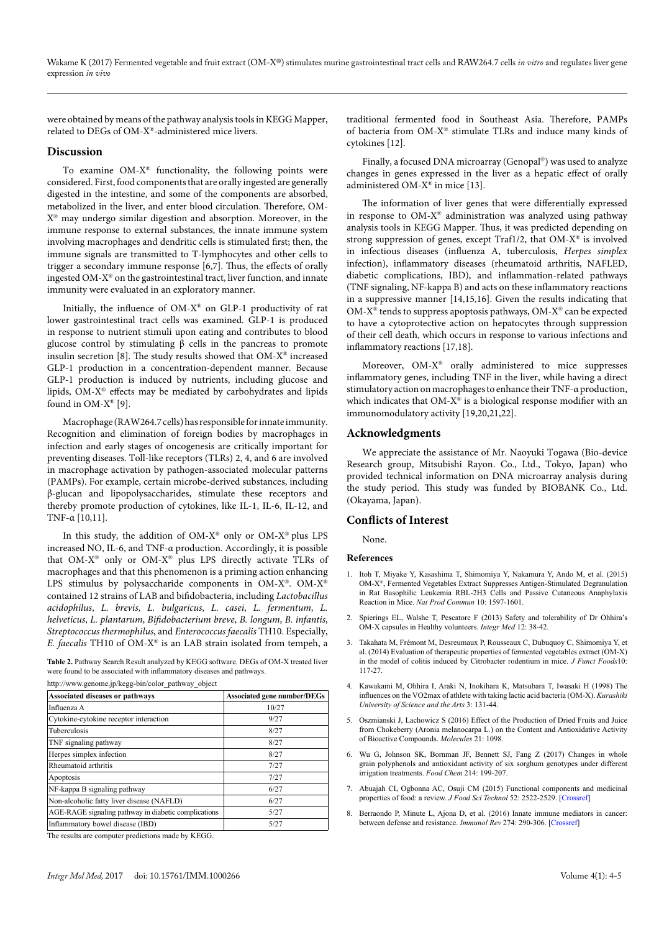were obtained by means of the pathway analysis tools in KEGG Mapper, related to DEGs of OM-X®-administered mice livers.

#### **Discussion**

To examine OM-X® functionality, the following points were considered. First, food components that are orally ingested are generally digested in the intestine, and some of the components are absorbed, metabolized in the liver, and enter blood circulation. Therefore, OM-X® may undergo similar digestion and absorption. Moreover, in the immune response to external substances, the innate immune system involving macrophages and dendritic cells is stimulated first; then, the immune signals are transmitted to T-lymphocytes and other cells to trigger a secondary immune response [6,7]. Thus, the effects of orally ingested OM-X® on the gastrointestinal tract, liver function, and innate immunity were evaluated in an exploratory manner.

Initially, the influence of OM-X® on GLP-1 productivity of rat lower gastrointestinal tract cells was examined. GLP-1 is produced in response to nutrient stimuli upon eating and contributes to blood glucose control by stimulating β cells in the pancreas to promote insulin secretion [8]. The study results showed that OM-X® increased GLP-1 production in a concentration-dependent manner. Because GLP-1 production is induced by nutrients, including glucose and lipids, OM-X® effects may be mediated by carbohydrates and lipids found in OM-X® [9].

Macrophage (RAW264.7 cells) has responsible for innate immunity. Recognition and elimination of foreign bodies by macrophages in infection and early stages of oncogenesis are critically important for preventing diseases. Toll-like receptors (TLRs) 2, 4, and 6 are involved in macrophage activation by pathogen-associated molecular patterns (PAMPs). For example, certain microbe-derived substances, including β-glucan and lipopolysaccharides, stimulate these receptors and thereby promote production of cytokines, like IL-1, IL-6, IL-12, and TNF- $α$  [10,11].

In this study, the addition of OM-X<sup>®</sup> only or OM-X<sup>®</sup> plus LPS increased NO, IL-6, and TNF-α production. Accordingly, it is possible that OM-X® only or OM-X® plus LPS directly activate TLRs of macrophages and that this phenomenon is a priming action enhancing LPS stimulus by polysaccharide components in OM-X®. OM-X® contained 12 strains of LAB and bifidobacteria, including *Lactobacillus acidophilus*, *L. brevis*, *L. bulgaricus*, *L. casei*, *L. fermentum*, *L. helveticus*, *L. plantarum*, *Bifidobacterium breve*, *B. longum*, *B. infantis*, *Streptococcus thermophilus*, and *Enterococcus faecalis* TH10. Especially, *E. faecalis* TH10 of OM-X® is an LAB strain isolated from tempeh, a

Table 2. Pathway Search Result analyzed by KEGG software. DEGs of OM-X treated liver were found to be associated with inflammatory diseases and pathways.

[http://www.genome.jp/kegg-bin/color\\_pathway\\_object](http://www.genome.jp/kegg-bin/color_pathway_object)

| <b>Associated diseases or pathways</b>               | <b>Associated gene number/DEGs</b> |
|------------------------------------------------------|------------------------------------|
| Influenza A                                          | 10/27                              |
| Cytokine-cytokine receptor interaction               | 9/27                               |
| <b>Tuberculosis</b>                                  | 8/27                               |
| TNF signaling pathway                                | 8/27                               |
| Herpes simplex infection                             | 8/27                               |
| Rheumatoid arthritis                                 | 7/27                               |
| Apoptosis                                            | 7/27                               |
| NF-kappa B signaling pathway                         | 6/27                               |
| Non-alcoholic fatty liver disease (NAFLD)            | 6/27                               |
| AGE-RAGE signaling pathway in diabetic complications | 5/27                               |
| Inflammatory bowel disease (IBD)                     | 5/27                               |

The results are computer predictions made by KEGG.

traditional fermented food in Southeast Asia. Therefore, PAMPs of bacteria from OM-X® stimulate TLRs and induce many kinds of cytokines [12].

Finally, a focused DNA microarray (Genopal®) was used to analyze changes in genes expressed in the liver as a hepatic effect of orally administered OM-X® in mice [13].

The information of liver genes that were differentially expressed in response to OM-X® administration was analyzed using pathway analysis tools in KEGG Mapper. Thus, it was predicted depending on strong suppression of genes, except Traf1/2, that OM-X® is involved in infectious diseases (influenza A, tuberculosis, *Herpes simplex* infection), inflammatory diseases (rheumatoid arthritis, NAFLED, diabetic complications, IBD), and inflammation-related pathways (TNF signaling, NF-kappa B) and acts on these inflammatory reactions in a suppressive manner [14,15,16]. Given the results indicating that OM-X<sup>®</sup> tends to suppress apoptosis pathways, OM-X<sup>®</sup> can be expected to have a cytoprotective action on hepatocytes through suppression of their cell death, which occurs in response to various infections and inflammatory reactions [17,18].

Moreover, OM-X® orally administered to mice suppresses inflammatory genes, including TNF in the liver, while having a direct stimulatory action on macrophages to enhance their TNF-α production, which indicates that  $OM-X^*$  is a biological response modifier with an immunomodulatory activity [19,20,21,22].

#### **Acknowledgments**

We appreciate the assistance of Mr. Naoyuki Togawa (Bio-device Research group, Mitsubishi Rayon. Co., Ltd., Tokyo, Japan) who provided technical information on DNA microarray analysis during the study period. This study was funded by BIOBANK Co., Ltd. (Okayama, Japan).

#### **Conflicts of Interest**

None.

#### **References**

- 1. Itoh T, Miyake Y, Kasashima T, Shimomiya Y, Nakamura Y, Ando M, et al. (2015) OM-X®, Fermented Vegetables Extract Suppresses Antigen-Stimulated Degranulation in Rat Basophilic Leukemia RBL-2H3 Cells and Passive Cutaneous Anaphylaxis Reaction in Mice. *Nat Prod Commun* 10: 1597-1601.
- 2. Spierings EL, Walshe T, Pescatore F (2013) Safety and tolerability of Dr Ohhira's OM-X capsules in Healthy volunteers. *Integr Med* 12: 38-42.
- 3. Takahata M, Frémont M, Desreumaux P, Rousseaux C, Dubuquoy C, Shimomiya Y, et al. (2014) Evaluation of therapeutic properties of fermented vegetables extract (OM-X) in the model of colitis induced by Citrobacter rodentium in mice. *J Funct Foods*10: 117-27.
- 4. Kawakami M, Ohhira I, Araki N, Inokihara K, Matsubara T, Iwasaki H (1998) The influences on the VO2max of athlete with taking lactic acid bacteria (OM-X). *Kurashiki University of Science and the Arts* 3: 131-44.
- 5. Oszmianski J, Lachowicz S (2016) Effect of the Production of Dried Fruits and Juice from Chokeberry (Aronia melanocarpa L.) on the Content and Antioxidative Activity of Bioactive Compounds. *Molecules* 21: 1098.
- 6. Wu G, Johnson SK, Bornman JF, Bennett SJ, Fang Z (2017) Changes in whole grain polyphenols and antioxidant activity of six sorghum genotypes under different irrigation treatments. *Food Chem* 214: 199-207.
- 7. Abuajah CI, Ogbonna AC, Osuji CM (2015) Functional components and medicinal properties of food: a review. *J Food Sci Technol* 52: 2522-2529. [[Crossref](http://www.ncbi.nlm.nih.gov/pubmed/25892752)]
- 8. Berraondo P, Minute L, Ajona D, et al. (2016) Innate immune mediators in cancer: between defense and resistance. *Immunol Rev* 274: 290-306. [[Crossref](http://www.ncbi.nlm.nih.gov/pubmed/)]